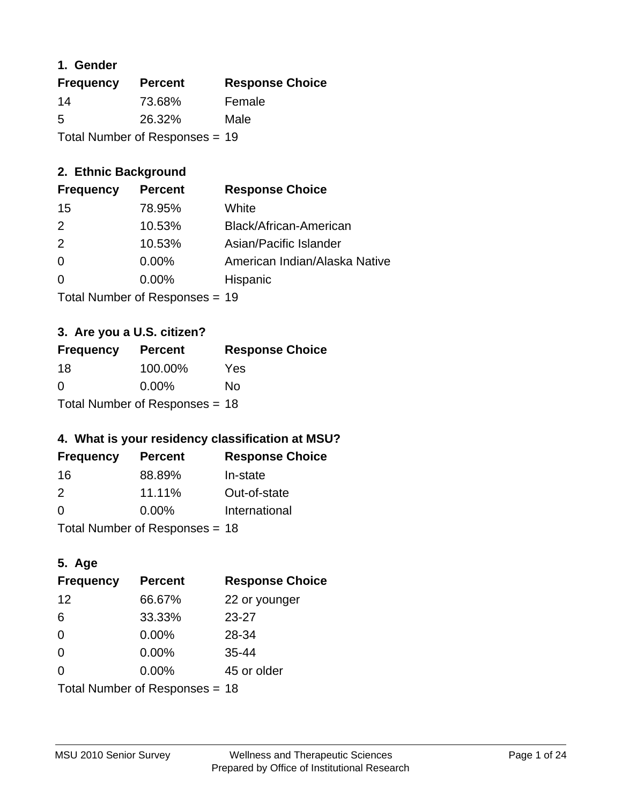## **1. Gender**

| <b>Frequency</b>               | <b>Percent</b> | <b>Response Choice</b> |
|--------------------------------|----------------|------------------------|
| 14                             | 73.68%         | Female                 |
| 5                              | 26.32%         | Male                   |
| Total Number of Responses = 19 |                |                        |

## **2. Ethnic Background**

| <b>Frequency</b> | <b>Percent</b> | <b>Response Choice</b>        |
|------------------|----------------|-------------------------------|
| 15               | 78.95%         | White                         |
| $\mathcal{P}$    | 10.53%         | Black/African-American        |
| 2                | 10.53%         | Asian/Pacific Islander        |
| $\Omega$         | $0.00\%$       | American Indian/Alaska Native |
|                  | 0.00%          | Hispanic                      |
|                  |                |                               |

Total Number of Responses = 19

## **3. Are you a U.S. citizen?**

| <b>Frequency</b>               | <b>Percent</b> | <b>Response Choice</b> |
|--------------------------------|----------------|------------------------|
| -18                            | 100.00%        | Yes                    |
| $\Omega$                       | $0.00\%$       | Nο                     |
| Total Number of Responses = 18 |                |                        |

## **4. What is your residency classification at MSU?**

| <b>Frequency</b> | <b>Percent</b> | <b>Response Choice</b> |
|------------------|----------------|------------------------|
| 16               | 88.89%         | In-state               |
| $\mathcal{P}$    | 11.11%         | Out-of-state           |
| $\Omega$         | $0.00\%$       | International          |
|                  |                |                        |

Total Number of Responses = 18

## **5. Age**

| <b>Frequency</b>               | <b>Percent</b> | <b>Response Choice</b> |
|--------------------------------|----------------|------------------------|
| 12                             | 66.67%         | 22 or younger          |
| 6                              | 33.33%         | $23 - 27$              |
| 0                              | 0.00%          | 28-34                  |
| 0                              | $0.00\%$       | $35 - 44$              |
| 0                              | 0.00%          | 45 or older            |
| Total Number of Responses = 18 |                |                        |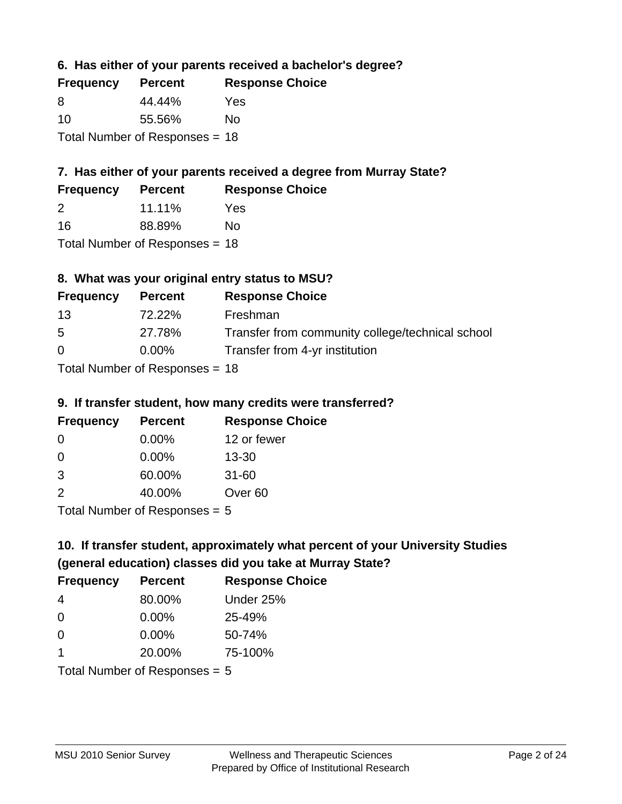**6. Has either of your parents received a bachelor's degree?**

| <b>Frequency</b>               | <b>Percent</b> | <b>Response Choice</b> |
|--------------------------------|----------------|------------------------|
| 8                              | 44.44%         | Yes                    |
| 10                             | 55.56%         | Nο                     |
| Total Number of Responses = 18 |                |                        |

## **7. Has either of your parents received a degree from Murray State?**

| <b>Frequency</b> | <b>Percent</b> | <b>Response Choice</b> |
|------------------|----------------|------------------------|
| 2                | 11.11%         | Yes                    |
| 16               | 88.89%         | No                     |

Total Number of Responses = 18

## **8. What was your original entry status to MSU?**

| <b>Frequency</b> | <b>Percent</b>                   | <b>Response Choice</b>                           |
|------------------|----------------------------------|--------------------------------------------------|
| 13               | 72.22%                           | Freshman                                         |
| 5                | 27.78%                           | Transfer from community college/technical school |
| $\Omega$         | $0.00\%$                         | Transfer from 4-yr institution                   |
|                  | $Total Number of DoEROR 20 - 40$ |                                                  |

Total Number of Responses = 18

### **9. If transfer student, how many credits were transferred?**

| <b>Frequency</b>            | <b>Percent</b> | <b>Response Choice</b> |
|-----------------------------|----------------|------------------------|
| -0                          | $0.00\%$       | 12 or fewer            |
| 0                           | $0.00\%$       | $13 - 30$              |
| 3                           | 60.00%         | $31 - 60$              |
| 2                           | 40.00%         | Over <sub>60</sub>     |
| Total Number of Desponses E |                |                        |

Total Number of Responses = 5

# **10. If transfer student, approximately what percent of your University Studies (general education) classes did you take at Murray State?**

| <b>Frequency</b>                | <b>Percent</b> | <b>Response Choice</b> |
|---------------------------------|----------------|------------------------|
| 4                               | 80.00%         | Under 25%              |
| $\Omega$                        | $0.00\%$       | 25-49%                 |
| $\Omega$                        | $0.00\%$       | 50-74%                 |
| 1                               | 20.00%         | 75-100%                |
| Total Number of Responses $= 5$ |                |                        |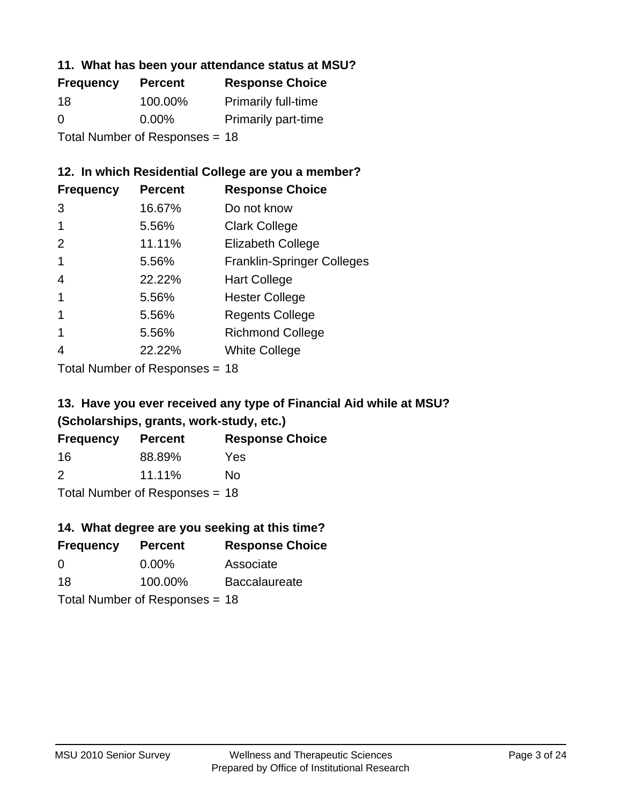### **11. What has been your attendance status at MSU?**

| <b>Frequency</b>               | <b>Percent</b> | <b>Response Choice</b>     |
|--------------------------------|----------------|----------------------------|
| 18                             | 100.00%        | <b>Primarily full-time</b> |
| 0                              | $0.00\%$       | <b>Primarily part-time</b> |
| Total Number of Responses = 18 |                |                            |

## **12. In which Residential College are you a member?**

| <b>Frequency</b> | <b>Percent</b> | <b>Response Choice</b>            |
|------------------|----------------|-----------------------------------|
| 3                | 16.67%         | Do not know                       |
|                  | 5.56%          | <b>Clark College</b>              |
| $\mathcal{P}$    | 11.11%         | <b>Elizabeth College</b>          |
|                  | 5.56%          | <b>Franklin-Springer Colleges</b> |
| 4                | 22.22%         | <b>Hart College</b>               |
|                  | 5.56%          | <b>Hester College</b>             |
|                  | 5.56%          | <b>Regents College</b>            |
|                  | 5.56%          | <b>Richmond College</b>           |
|                  | 22.22%         | <b>White College</b>              |

Total Number of Responses = 18

## **13. Have you ever received any type of Financial Aid while at MSU? (Scholarships, grants, work-study, etc.)**

| <b>Frequency</b> | <b>Percent</b>              | <b>Response Choice</b> |
|------------------|-----------------------------|------------------------|
| 16               | 88.89%                      | Yes                    |
| 2                | 11.11%                      | No.                    |
|                  | Tatal Massakan af Dagmannar |                        |

Total Number of Responses = 18

## **14. What degree are you seeking at this time?**

| <b>Frequency</b> | <b>Percent</b>                 | <b>Response Choice</b> |
|------------------|--------------------------------|------------------------|
| $\Omega$         | $0.00\%$                       | Associate              |
| 18               | 100.00%                        | <b>Baccalaureate</b>   |
|                  | Total Number of Responses = 18 |                        |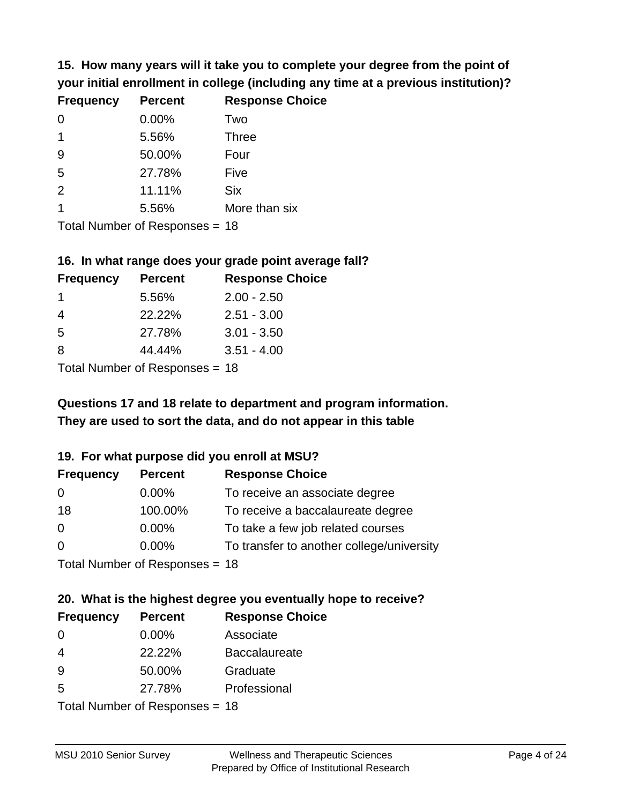**15. How many years will it take you to complete your degree from the point of your initial enrollment in college (including any time at a previous institution)?**

| <b>Frequency</b> | <b>Percent</b> | <b>Response Choice</b> |
|------------------|----------------|------------------------|
| $\Omega$         | 0.00%          | Two                    |
| 1                | 5.56%          | <b>Three</b>           |
| 9                | 50.00%         | Four                   |
| 5                | 27.78%         | Five                   |
| 2                | 11.11%         | <b>Six</b>             |
|                  | 5.56%          | More than six          |
|                  |                |                        |

Total Number of Responses = 18

### **16. In what range does your grade point average fall?**

| <b>Frequency</b> | <b>Percent</b> | <b>Response Choice</b> |
|------------------|----------------|------------------------|
|                  | 5.56%          | $2.00 - 2.50$          |
|                  | 22.22%         | $2.51 - 3.00$          |
| -5               | 27.78%         | $3.01 - 3.50$          |
| 8                | 44.44%         | $3.51 - 4.00$          |
|                  |                |                        |

Total Number of Responses = 18

## **They are used to sort the data, and do not appear in this table Questions 17 and 18 relate to department and program information.**

### **19. For what purpose did you enroll at MSU?**

| <b>Frequency</b> | <b>Percent</b>                   | <b>Response Choice</b>                    |
|------------------|----------------------------------|-------------------------------------------|
| 0                | $0.00\%$                         | To receive an associate degree            |
| 18               | 100.00%                          | To receive a baccalaureate degree         |
| 0                | $0.00\%$                         | To take a few job related courses         |
| $\Omega$         | $0.00\%$                         | To transfer to another college/university |
|                  | Total Number of Responses = $18$ |                                           |

# **20. What is the highest degree you eventually hope to receive?**

| <b>Frequency</b> | <b>Percent</b>             | <b>Response Choice</b> |
|------------------|----------------------------|------------------------|
| $\Omega$         | 0.00%                      | Associate              |
| 4                | 22.22%                     | <b>Baccalaureate</b>   |
| 9                | 50.00%                     | Graduate               |
| 5                | 27.78%                     | Professional           |
|                  | Total Number of Deepersoon |                        |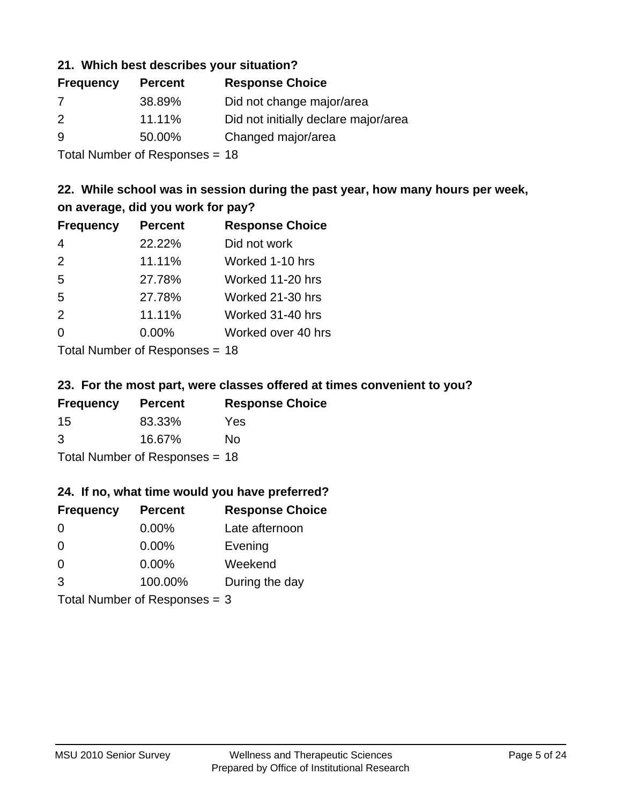## **21. Which best describes your situation?**

| <b>Frequency</b> | <b>Percent</b> | <b>Response Choice</b>               |
|------------------|----------------|--------------------------------------|
| $\prime$         | 38.89%         | Did not change major/area            |
| $\mathcal{P}$    | 11.11%         | Did not initially declare major/area |
| 9                | 50.00%         | Changed major/area                   |
|                  |                |                                      |

Total Number of Responses = 18

## **22. While school was in session during the past year, how many hours per week, on average, did you work for pay?**

| <b>Frequency</b> | <b>Percent</b> | <b>Response Choice</b> |
|------------------|----------------|------------------------|
| $\overline{4}$   | 22.22%         | Did not work           |
| 2                | 11.11%         | Worked 1-10 hrs        |
| 5                | 27.78%         | Worked 11-20 hrs       |
| 5                | 27.78%         | Worked 21-30 hrs       |
| 2                | 11.11%         | Worked 31-40 hrs       |
| 0                | 0.00%          | Worked over 40 hrs     |
|                  |                |                        |

Total Number of Responses = 18

### **23. For the most part, were classes offered at times convenient to you?**

| <b>Frequency</b>                 | <b>Percent</b> | <b>Response Choice</b> |
|----------------------------------|----------------|------------------------|
| -15                              | 83.33%         | Yes                    |
| 3                                | 16.67%         | No.                    |
| Total Number of Responses = $18$ |                |                        |

### **24. If no, what time would you have preferred?**

| <b>Frequency</b> | <b>Percent</b>                  | <b>Response Choice</b> |
|------------------|---------------------------------|------------------------|
| $\Omega$         | 0.00%                           | Late afternoon         |
| $\Omega$         | $0.00\%$                        | Evening                |
| 0                | $0.00\%$                        | Weekend                |
| 3                | 100.00%                         | During the day         |
|                  | Total Number of Responses = $3$ |                        |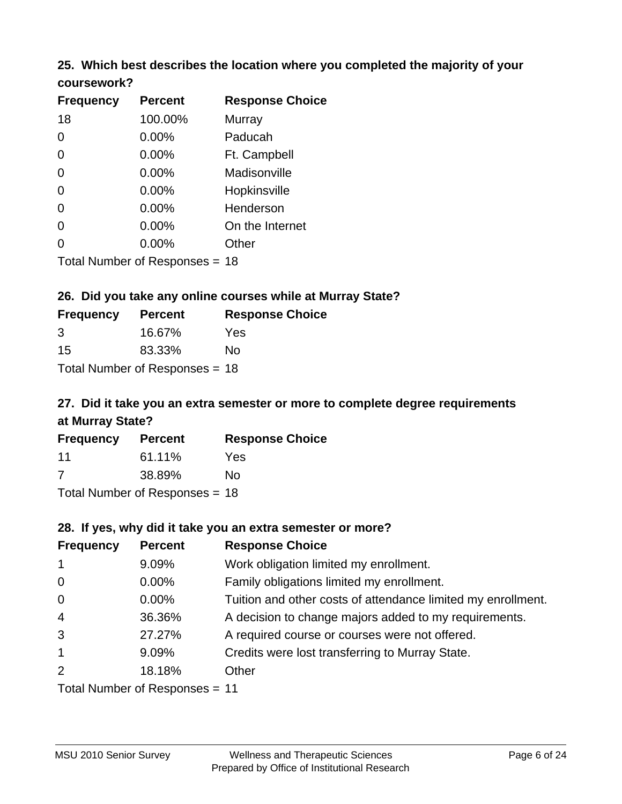# **25. Which best describes the location where you completed the majority of your**

| coursework? |
|-------------|
|-------------|

| <b>Frequency</b> | <b>Percent</b>                 | <b>Response Choice</b> |
|------------------|--------------------------------|------------------------|
| 18               | 100.00%                        | Murray                 |
| 0                | 0.00%                          | Paducah                |
| 0                | 0.00%                          | Ft. Campbell           |
| $\overline{0}$   | 0.00%                          | Madisonville           |
| 0                | 0.00%                          | Hopkinsville           |
| 0                | $0.00\%$                       | Henderson              |
| 0                | 0.00%                          | On the Internet        |
| 0                | 0.00%                          | Other                  |
|                  | Total Number of Responses = 18 |                        |

## **26. Did you take any online courses while at Murray State?**

| <b>Frequency</b> | <b>Percent</b>                 | <b>Response Choice</b> |
|------------------|--------------------------------|------------------------|
| 3                | 16.67%                         | Yes                    |
| 15               | 83.33%                         | Nο                     |
|                  | Total Number of Responses = 18 |                        |

# **27. Did it take you an extra semester or more to complete degree requirements at Murray State?**

| <b>Frequency</b>                 | <b>Percent</b> | <b>Response Choice</b> |  |
|----------------------------------|----------------|------------------------|--|
| 11                               | 61.11%         | Yes                    |  |
| 7                                | 38.89%         | No                     |  |
| Total Number of Responses = $18$ |                |                        |  |

| 28. If yes, why did it take you an extra semester or more? |                                   |                                                              |  |
|------------------------------------------------------------|-----------------------------------|--------------------------------------------------------------|--|
| <b>Frequency</b>                                           | <b>Percent</b>                    | <b>Response Choice</b>                                       |  |
| $\mathbf{1}$                                               | 9.09%                             | Work obligation limited my enrollment.                       |  |
| $\mathbf 0$                                                | $0.00\%$                          | Family obligations limited my enrollment.                    |  |
| $\mathbf 0$                                                | $0.00\%$                          | Tuition and other costs of attendance limited my enrollment. |  |
| $\overline{4}$                                             | 36.36%                            | A decision to change majors added to my requirements.        |  |
| 3                                                          | 27.27%                            | A required course or courses were not offered.               |  |
| $\mathbf{1}$                                               | 9.09%                             | Credits were lost transferring to Murray State.              |  |
| $\overline{2}$                                             | 18.18%                            | Other                                                        |  |
|                                                            | $Total$ Number of Responses $-11$ |                                                              |  |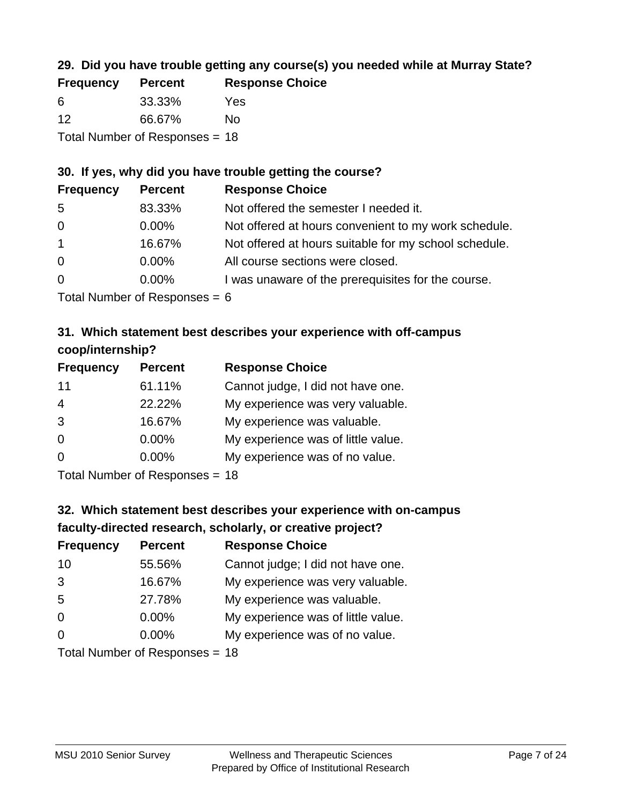## **29. Did you have trouble getting any course(s) you needed while at Murray State?**

| <b>Frequency</b>               | <b>Percent</b> | <b>Response Choice</b> |  |
|--------------------------------|----------------|------------------------|--|
| -6                             | 33.33%         | Yes                    |  |
| -12                            | 66.67%         | Nο                     |  |
| Total Number of Responses = 18 |                |                        |  |

## **30. If yes, why did you have trouble getting the course?**

| <b>Frequency</b> | <b>Percent</b> | <b>Response Choice</b>                                |
|------------------|----------------|-------------------------------------------------------|
| -5               | 83.33%         | Not offered the semester I needed it.                 |
| $\overline{0}$   | $0.00\%$       | Not offered at hours convenient to my work schedule.  |
| $\overline{1}$   | 16.67%         | Not offered at hours suitable for my school schedule. |
| $\overline{0}$   | $0.00\%$       | All course sections were closed.                      |
| $\overline{0}$   | $0.00\%$       | I was unaware of the prerequisites for the course.    |
|                  |                |                                                       |

Total Number of Responses = 6

## **31. Which statement best describes your experience with off-campus coop/internship?**

| <b>Frequency</b> | <b>Percent</b> | <b>Response Choice</b>             |
|------------------|----------------|------------------------------------|
| 11               | 61.11%         | Cannot judge, I did not have one.  |
| $\overline{4}$   | 22.22%         | My experience was very valuable.   |
| 3                | 16.67%         | My experience was valuable.        |
| $\Omega$         | 0.00%          | My experience was of little value. |
| $\Omega$         | 0.00%          | My experience was of no value.     |
|                  |                |                                    |

Total Number of Responses = 18

# **32. Which statement best describes your experience with on-campus faculty-directed research, scholarly, or creative project?**

| <b>Frequency</b> | <b>Percent</b>              | <b>Response Choice</b>             |
|------------------|-----------------------------|------------------------------------|
| 10               | 55.56%                      | Cannot judge; I did not have one.  |
| 3                | 16.67%                      | My experience was very valuable.   |
| 5                | 27.78%                      | My experience was valuable.        |
| $\Omega$         | $0.00\%$                    | My experience was of little value. |
| $\Omega$         | 0.00%                       | My experience was of no value.     |
|                  | Tatal Mussakan af Danmarana |                                    |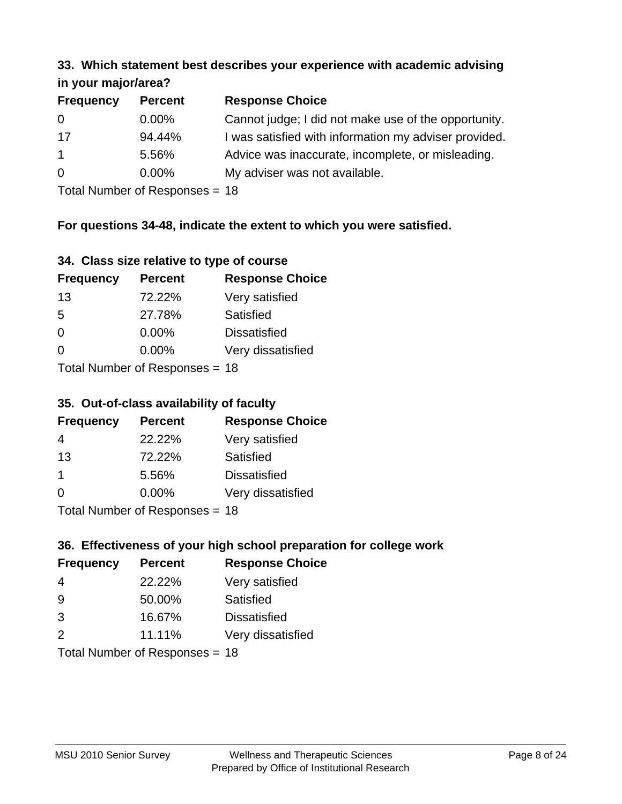#### **33. Which statement best describes your experience with academic advising in your major/area?**

| $\mathbf{u}$ yvu $\mathbf{u}$ yvu $\mathbf{v}$ |                |                                                       |
|------------------------------------------------|----------------|-------------------------------------------------------|
| <b>Frequency</b>                               | <b>Percent</b> | <b>Response Choice</b>                                |
| 0                                              | $0.00\%$       | Cannot judge; I did not make use of the opportunity.  |
| 17                                             | 94.44%         | I was satisfied with information my adviser provided. |
| $\mathbf{1}$                                   | 5.56%          | Advice was inaccurate, incomplete, or misleading.     |
| $\overline{0}$                                 | $0.00\%$       | My adviser was not available.                         |
|                                                |                |                                                       |

Total Number of Responses = 18

## **For questions 34-48, indicate the extent to which you were satisfied.**

| 34. Class size relative to type of course |
|-------------------------------------------|
|-------------------------------------------|

| <b>Frequency</b>               | <b>Percent</b> | <b>Response Choice</b> |  |
|--------------------------------|----------------|------------------------|--|
| 13                             | 72.22%         | Very satisfied         |  |
| -5                             | 27.78%         | Satisfied              |  |
| $\Omega$                       | 0.00%          | <b>Dissatisfied</b>    |  |
| $\Omega$                       | $0.00\%$       | Very dissatisfied      |  |
| Total Number of Reconnege - 18 |                |                        |  |

Total Number of Responses = 18

### **35. Out-of-class availability of faculty**

| <b>Frequency</b> | <b>Percent</b>            | <b>Response Choice</b> |
|------------------|---------------------------|------------------------|
| 4                | 22.22%                    | Very satisfied         |
| 13               | 72.22%                    | Satisfied              |
| 1                | 5.56%                     | <b>Dissatisfied</b>    |
| $\Omega$         | 0.00%                     | Very dissatisfied      |
|                  | Total Number of Desponses |                        |

Total Number of Responses = 18

### **36. Effectiveness of your high school preparation for college work**

| <b>Frequency</b>            | <b>Percent</b> | <b>Response Choice</b> |
|-----------------------------|----------------|------------------------|
| 4                           | 22.22%         | Very satisfied         |
| 9                           | 50.00%         | Satisfied              |
| 3                           | 16.67%         | <b>Dissatisfied</b>    |
| $\mathcal{P}$               | 11.11%         | Very dissatisfied      |
| Tatal Manuala and Dannanana |                |                        |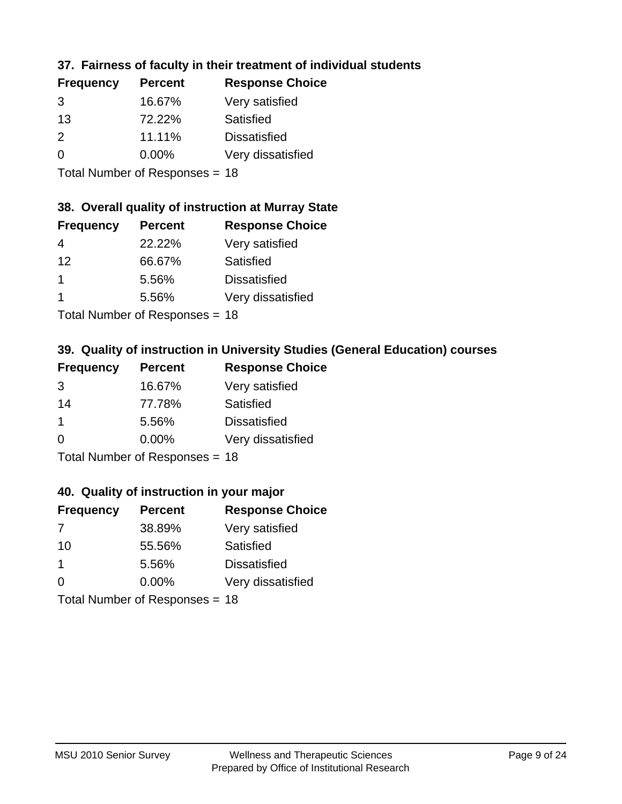## **37. Fairness of faculty in their treatment of individual students**

| <b>Frequency</b> | <b>Percent</b> | <b>Response Choice</b> |
|------------------|----------------|------------------------|
| 3                | 16.67%         | Very satisfied         |
| 13               | 72.22%         | Satisfied              |
| $\mathcal{P}$    | 11.11%         | <b>Dissatisfied</b>    |
| $\Omega$         | $0.00\%$       | Very dissatisfied      |
|                  |                |                        |

Total Number of Responses = 18

### **38. Overall quality of instruction at Murray State**

| <b>Frequency</b> | <b>Percent</b> | <b>Response Choice</b> |
|------------------|----------------|------------------------|
| 4                | 22.22%         | Very satisfied         |
| 12               | 66.67%         | Satisfied              |
|                  | 5.56%          | <b>Dissatisfied</b>    |
|                  | 5.56%          | Very dissatisfied      |
|                  |                |                        |

Total Number of Responses = 18

## **39. Quality of instruction in University Studies (General Education) courses**

| <b>Frequency</b> | <b>Percent</b>            | <b>Response Choice</b> |
|------------------|---------------------------|------------------------|
| 3                | 16.67%                    | Very satisfied         |
| 14               | 77.78%                    | Satisfied              |
| -1               | 5.56%                     | <b>Dissatisfied</b>    |
| $\Omega$         | 0.00%                     | Very dissatisfied      |
|                  | Total Number of Desponses |                        |

Total Number of Responses = 18

### **40. Quality of instruction in your major**

| <b>Frequency</b> | <b>Percent</b>                 | <b>Response Choice</b> |
|------------------|--------------------------------|------------------------|
| -7               | 38.89%                         | Very satisfied         |
| 10               | 55.56%                         | Satisfied              |
| $\mathbf 1$      | 5.56%                          | <b>Dissatisfied</b>    |
| $\Omega$         | $0.00\%$                       | Very dissatisfied      |
|                  | Total Number of Responses = 18 |                        |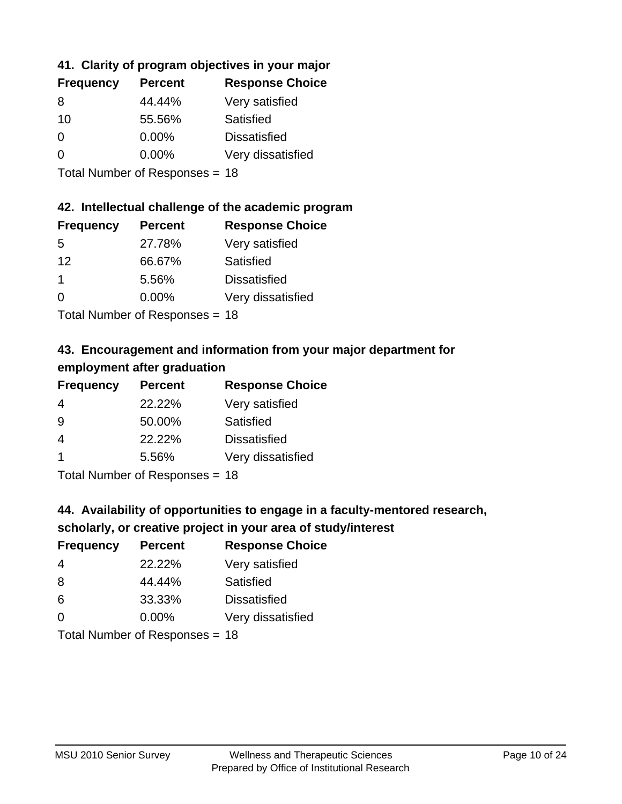## **41. Clarity of program objectives in your major**

| <b>Frequency</b> | <b>Percent</b> | <b>Response Choice</b> |
|------------------|----------------|------------------------|
| 8                | 44.44%         | Very satisfied         |
| 10               | 55.56%         | Satisfied              |
| 0                | 0.00%          | <b>Dissatisfied</b>    |
| ∩                | 0.00%          | Very dissatisfied      |
|                  |                |                        |

Total Number of Responses = 18

### **42. Intellectual challenge of the academic program**

| <b>Frequency</b> | <b>Percent</b> | <b>Response Choice</b> |
|------------------|----------------|------------------------|
| .5               | 27.78%         | Very satisfied         |
| 12               | 66.67%         | Satisfied              |
|                  | 5.56%          | <b>Dissatisfied</b>    |
| $\Omega$         | 0.00%          | Very dissatisfied      |
|                  |                |                        |

Total Number of Responses = 18

## **43. Encouragement and information from your major department for employment after graduation**

| <b>Frequency</b>     | <b>Percent</b> | <b>Response Choice</b> |
|----------------------|----------------|------------------------|
| 4                    | 22.22%         | Very satisfied         |
| 9                    | 50.00%         | Satisfied              |
| $\overline{4}$       | 22.22%         | <b>Dissatisfied</b>    |
| $\blacktriangleleft$ | 5.56%          | Very dissatisfied      |
|                      |                |                        |

Total Number of Responses = 18

## **44. Availability of opportunities to engage in a faculty-mentored research,**

### **scholarly, or creative project in your area of study/interest**

| <b>Frequency</b> | <b>Percent</b> | <b>Response Choice</b> |
|------------------|----------------|------------------------|
| 4                | 22.22%         | Very satisfied         |
| 8                | 44.44%         | Satisfied              |
| 6                | 33.33%         | <b>Dissatisfied</b>    |
| $\Omega$         | 0.00%          | Very dissatisfied      |
|                  |                |                        |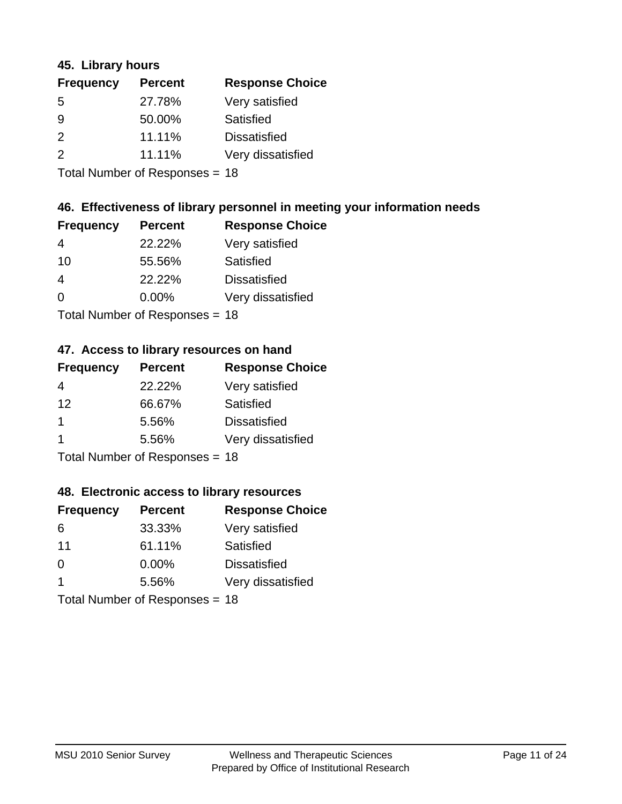### **45. Library hours**

| <b>Frequency</b> | <b>Percent</b> | <b>Response Choice</b> |
|------------------|----------------|------------------------|
| 5                | 27.78%         | Very satisfied         |
| 9                | 50.00%         | Satisfied              |
| $\mathcal{P}$    | 11.11%         | <b>Dissatisfied</b>    |
| $\mathcal{P}$    | 11.11%         | Very dissatisfied      |
|                  |                |                        |

Total Number of Responses = 18

## **46. Effectiveness of library personnel in meeting your information needs**

| <b>Frequency</b> | <b>Percent</b> | <b>Response Choice</b> |
|------------------|----------------|------------------------|
| 4                | 22.22%         | Very satisfied         |
| 10               | 55.56%         | Satisfied              |
| 4                | 22.22%         | <b>Dissatisfied</b>    |
| $\Omega$         | $0.00\%$       | Very dissatisfied      |
|                  |                |                        |

Total Number of Responses = 18

### **47. Access to library resources on hand**

| <b>Frequency</b> | <b>Percent</b>            | <b>Response Choice</b> |
|------------------|---------------------------|------------------------|
| 4                | 22.22%                    | Very satisfied         |
| 12               | 66.67%                    | Satisfied              |
| $\mathbf 1$      | 5.56%                     | <b>Dissatisfied</b>    |
|                  | 5.56%                     | Very dissatisfied      |
|                  | Total Number of Deepersee |                        |

Total Number of Responses = 18

### **48. Electronic access to library resources**

| <b>Frequency</b> | <b>Percent</b>                 | <b>Response Choice</b> |
|------------------|--------------------------------|------------------------|
| 6                | 33.33%                         | Very satisfied         |
| 11               | 61.11%                         | Satisfied              |
| $\Omega$         | $0.00\%$                       | <b>Dissatisfied</b>    |
| -1               | 5.56%                          | Very dissatisfied      |
|                  | Total Number of Responses = 18 |                        |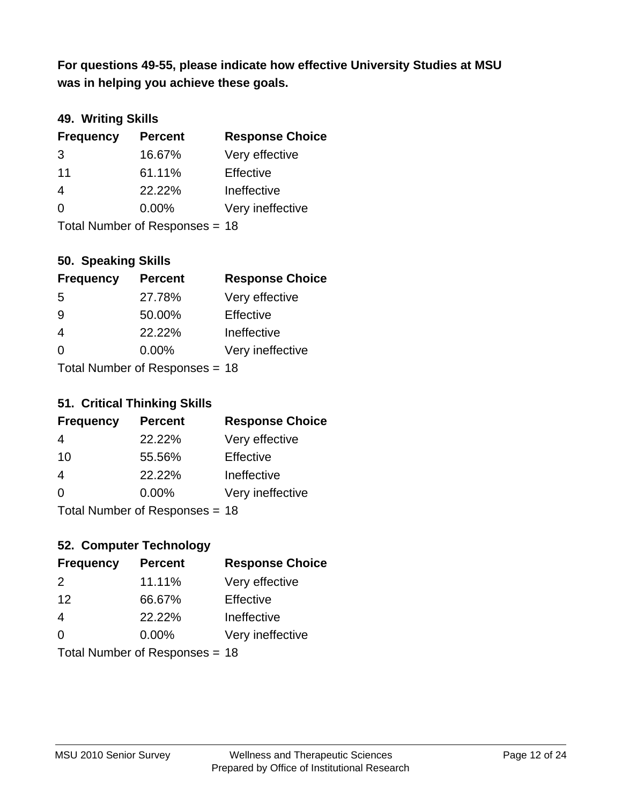**was in helping you achieve these goals. For questions 49-55, please indicate how effective University Studies at MSU** 

## **49. Writing Skills**

| <b>Frequency</b> | <b>Percent</b>                 | <b>Response Choice</b> |
|------------------|--------------------------------|------------------------|
| 3                | 16.67%                         | Very effective         |
| 11               | 61.11%                         | Effective              |
| 4                | 22.22%                         | Ineffective            |
| $\Omega$         | $0.00\%$                       | Very ineffective       |
|                  | Total Number of Responses = 18 |                        |

## **50. Speaking Skills**

| <b>Frequency</b>               | <b>Percent</b> | <b>Response Choice</b> |
|--------------------------------|----------------|------------------------|
| -5                             | 27.78%         | Very effective         |
| 9                              | 50.00%         | Effective              |
| 4                              | 22.22%         | Ineffective            |
| $\Omega$                       | 0.00%          | Very ineffective       |
| Total Number of Poenonces - 18 |                |                        |

Total Number of Responses = 18

### **51. Critical Thinking Skills**

| <b>Frequency</b> | <b>Percent</b>                  | <b>Response Choice</b> |
|------------------|---------------------------------|------------------------|
| 4                | 22.22%                          | Very effective         |
| 10               | 55.56%                          | Effective              |
| 4                | 22.22%                          | Ineffective            |
| $\Omega$         | 0.00%                           | Very ineffective       |
|                  | $Total$ Number of Despasses $-$ |                        |

Total Number of Responses = 18

## **52. Computer Technology**

| <b>Frequency</b> | <b>Percent</b>                 | <b>Response Choice</b> |
|------------------|--------------------------------|------------------------|
| $\mathcal{P}$    | 11.11%                         | Very effective         |
| 12               | 66.67%                         | Effective              |
| $\overline{4}$   | 22.22%                         | Ineffective            |
| $\Omega$         | $0.00\%$                       | Very ineffective       |
|                  | Total Number of Responses = 18 |                        |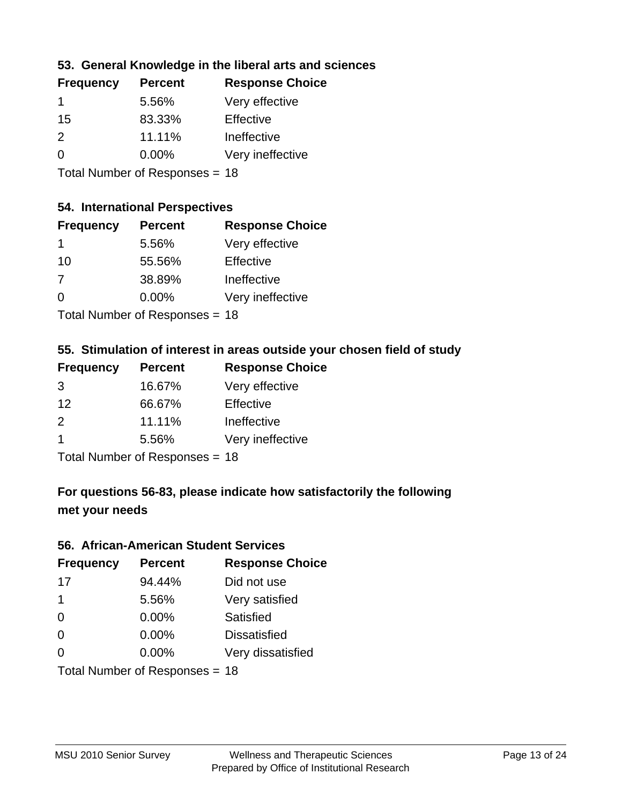## **53. General Knowledge in the liberal arts and sciences**

| <b>Frequency</b> | <b>Percent</b> | <b>Response Choice</b> |
|------------------|----------------|------------------------|
| 1                | 5.56%          | Very effective         |
| 15               | 83.33%         | Effective              |
| $\mathcal{P}$    | 11.11%         | Ineffective            |
| $\Omega$         | 0.00%          | Very ineffective       |
|                  |                |                        |

Total Number of Responses = 18

### **54. International Perspectives**

| <b>Frequency</b> | <b>Percent</b> | <b>Response Choice</b> |
|------------------|----------------|------------------------|
| 1.               | 5.56%          | Very effective         |
| 10               | 55.56%         | Effective              |
| 7                | 38.89%         | Ineffective            |
| $\Omega$         | 0.00%          | Very ineffective       |
|                  |                |                        |

Total Number of Responses = 18

## **55. Stimulation of interest in areas outside your chosen field of study**

| <b>Frequency</b>               | <b>Percent</b> | <b>Response Choice</b> |
|--------------------------------|----------------|------------------------|
| 3                              | 16.67%         | Very effective         |
| 12                             | 66.67%         | Effective              |
| 2                              | 11.11%         | Ineffective            |
| $\overline{\mathbf{1}}$        | 5.56%          | Very ineffective       |
| Total Number of Responses = 18 |                |                        |

**For questions 56-83, please indicate how satisfactorily the following met your needs**

#### **56. African-American Student Services**

| <b>Frequency</b> | <b>Percent</b>                 | <b>Response Choice</b> |
|------------------|--------------------------------|------------------------|
| 17               | 94.44%                         | Did not use            |
| $\mathbf 1$      | 5.56%                          | Very satisfied         |
| 0                | 0.00%                          | Satisfied              |
| 0                | $0.00\%$                       | <b>Dissatisfied</b>    |
| $\Omega$         | $0.00\%$                       | Very dissatisfied      |
|                  | Total Number of Responses = 18 |                        |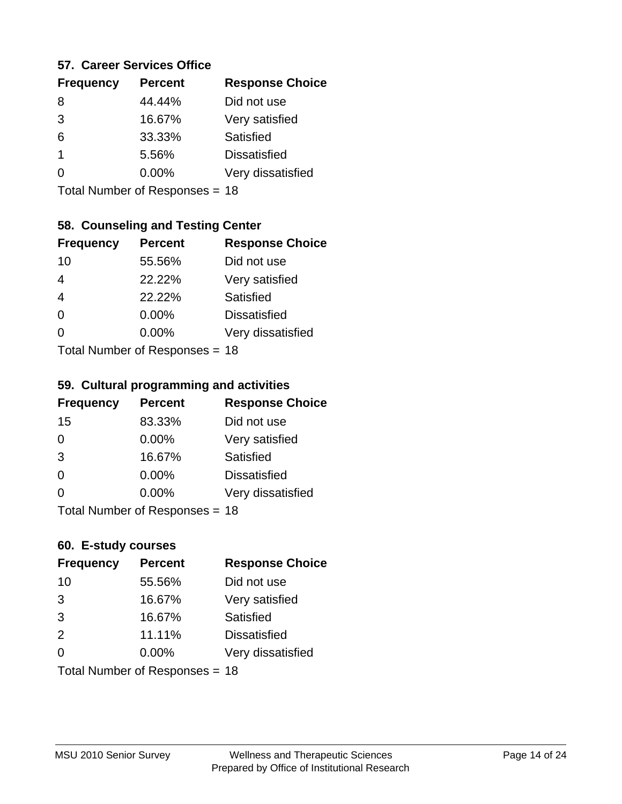### **57. Career Services Office**

| <b>Frequency</b> | <b>Percent</b> | <b>Response Choice</b> |
|------------------|----------------|------------------------|
| 8                | 44.44%         | Did not use            |
| 3                | 16.67%         | Very satisfied         |
| 6                | 33.33%         | Satisfied              |
|                  | 5.56%          | <b>Dissatisfied</b>    |
|                  | $0.00\%$       | Very dissatisfied      |
|                  |                |                        |

Total Number of Responses = 18

## **58. Counseling and Testing Center**

| <b>Frequency</b>          | <b>Percent</b> | <b>Response Choice</b> |
|---------------------------|----------------|------------------------|
| 10                        | 55.56%         | Did not use            |
| 4                         | 22.22%         | Very satisfied         |
| $\overline{4}$            | 22.22%         | Satisfied              |
| $\Omega$                  | 0.00%          | <b>Dissatisfied</b>    |
| ∩                         | $0.00\%$       | Very dissatisfied      |
| Total Number of Desponses |                |                        |

Total Number of Responses = 18

### **59. Cultural programming and activities**

| <b>Frequency</b> | <b>Percent</b>                 | <b>Response Choice</b> |
|------------------|--------------------------------|------------------------|
| 15               | 83.33%                         | Did not use            |
| $\Omega$         | 0.00%                          | Very satisfied         |
| 3                | 16.67%                         | Satisfied              |
| $\Omega$         | $0.00\%$                       | <b>Dissatisfied</b>    |
| $\Omega$         | $0.00\%$                       | Very dissatisfied      |
|                  | Total Number of Poenances - 18 |                        |

I otal Number of Responses = 18

### **60. E-study courses**

| <b>Frequency</b> | <b>Percent</b>                 | <b>Response Choice</b> |
|------------------|--------------------------------|------------------------|
| 10               | 55.56%                         | Did not use            |
| 3                | 16.67%                         | Very satisfied         |
| 3                | 16.67%                         | Satisfied              |
| 2                | 11.11%                         | <b>Dissatisfied</b>    |
| $\Omega$         | 0.00%                          | Very dissatisfied      |
|                  | Total Number of Responses = 18 |                        |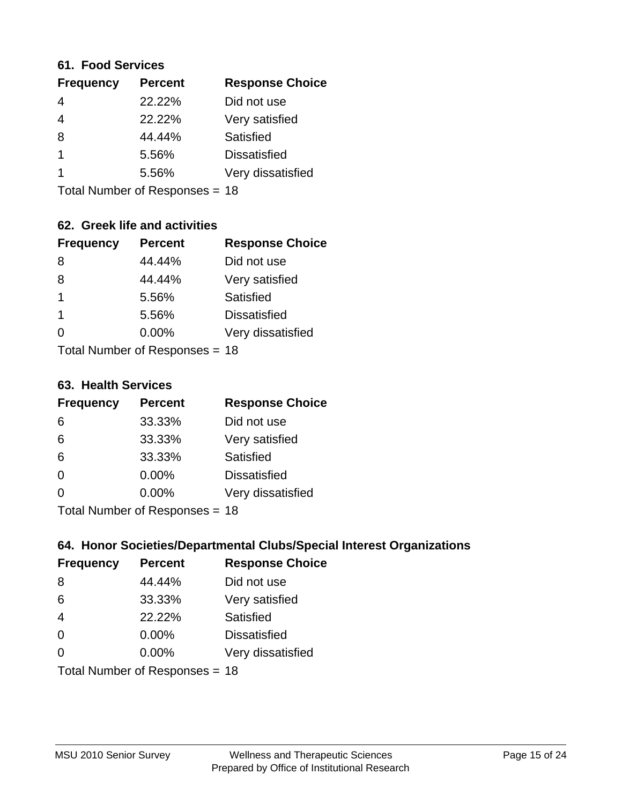### **61. Food Services**

| <b>Percent</b> | <b>Response Choice</b> |
|----------------|------------------------|
| 22.22%         | Did not use            |
| 22.22%         | Very satisfied         |
| 44.44%         | Satisfied              |
| 5.56%          | <b>Dissatisfied</b>    |
| 5.56%          | Very dissatisfied      |
|                |                        |

Total Number of Responses = 18

## **62. Greek life and activities**

| <b>Frequency</b> | <b>Percent</b>                 | <b>Response Choice</b> |
|------------------|--------------------------------|------------------------|
| 8                | 44.44%                         | Did not use            |
| 8                | 44.44%                         | Very satisfied         |
| 1                | 5.56%                          | Satisfied              |
| 1                | 5.56%                          | <b>Dissatisfied</b>    |
| 0                | $0.00\%$                       | Very dissatisfied      |
|                  | Total Number of Responses = 18 |                        |

#### **63. Health Services**

| <b>Frequency</b> | <b>Percent</b>            | <b>Response Choice</b> |
|------------------|---------------------------|------------------------|
| 6                | 33.33%                    | Did not use            |
| 6                | 33.33%                    | Very satisfied         |
| 6                | 33.33%                    | Satisfied              |
| $\Omega$         | $0.00\%$                  | <b>Dissatisfied</b>    |
| $\Omega$         | $0.00\%$                  | Very dissatisfied      |
|                  | Total Number of Desponses |                        |

Total Number of Responses = 18

## **64. Honor Societies/Departmental Clubs/Special Interest Organizations**

| <b>Frequency</b> | <b>Percent</b>                 | <b>Response Choice</b> |
|------------------|--------------------------------|------------------------|
| 8                | 44.44%                         | Did not use            |
| 6                | 33.33%                         | Very satisfied         |
| $\overline{4}$   | 22.22%                         | Satisfied              |
| $\Omega$         | $0.00\%$                       | <b>Dissatisfied</b>    |
| $\Omega$         | 0.00%                          | Very dissatisfied      |
|                  | Total Number of Responses = 18 |                        |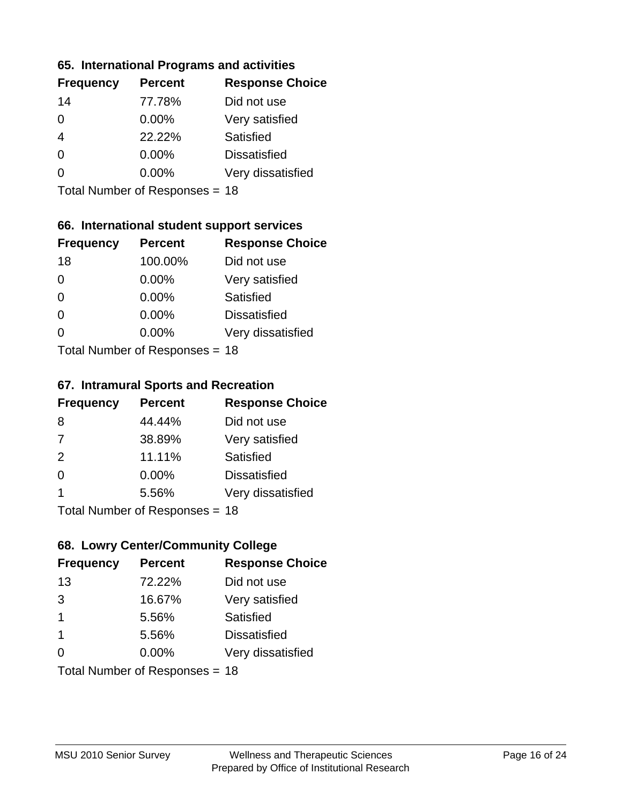### **65. International Programs and activities**

| <b>Frequency</b> | <b>Percent</b> | <b>Response Choice</b> |
|------------------|----------------|------------------------|
| 14               | 77.78%         | Did not use            |
| 0                | 0.00%          | Very satisfied         |
|                  | 22.22%         | Satisfied              |
| O                | $0.00\%$       | <b>Dissatisfied</b>    |
|                  | $0.00\%$       | Very dissatisfied      |
|                  |                |                        |

Total Number of Responses = 18

## **66. International student support services**

| <b>Frequency</b> | <b>Percent</b>            | <b>Response Choice</b> |
|------------------|---------------------------|------------------------|
| 18               | 100.00%                   | Did not use            |
| $\Omega$         | 0.00%                     | Very satisfied         |
| $\Omega$         | $0.00\%$                  | Satisfied              |
| $\Omega$         | 0.00%                     | <b>Dissatisfied</b>    |
| 0                | 0.00%                     | Very dissatisfied      |
|                  | Total Number of Desponses |                        |

Total Number of Responses = 18

### **67. Intramural Sports and Recreation**

| <b>Frequency</b> | <b>Percent</b>               | <b>Response Choice</b> |
|------------------|------------------------------|------------------------|
| 8                | 44.44%                       | Did not use            |
| 7                | 38.89%                       | Very satisfied         |
| 2                | 11.11%                       | Satisfied              |
| $\Omega$         | 0.00%                        | <b>Dissatisfied</b>    |
| -1               | 5.56%                        | Very dissatisfied      |
|                  | $Total Number of Denonce 49$ |                        |

Total Number of Responses = 18

## **68. Lowry Center/Community College**

| <b>Frequency</b>        | <b>Percent</b>                 | <b>Response Choice</b> |
|-------------------------|--------------------------------|------------------------|
| 13                      | 72.22%                         | Did not use            |
| 3                       | 16.67%                         | Very satisfied         |
| $\mathbf 1$             | 5.56%                          | Satisfied              |
| $\overline{\mathbf{1}}$ | 5.56%                          | <b>Dissatisfied</b>    |
| ∩                       | $0.00\%$                       | Very dissatisfied      |
|                         | Total Number of Responses = 18 |                        |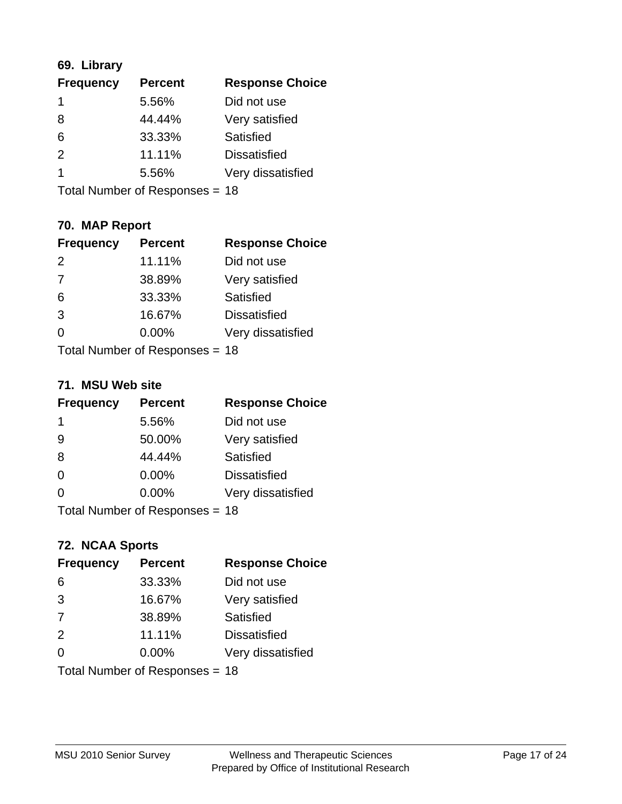## **69. Library**

| <b>Frequency</b> | <b>Percent</b> | <b>Response Choice</b> |
|------------------|----------------|------------------------|
| 1                | 5.56%          | Did not use            |
| 8                | 44.44%         | Very satisfied         |
| 6                | 33.33%         | Satisfied              |
| $\mathcal{P}$    | 11.11%         | <b>Dissatisfied</b>    |
| 1                | 5.56%          | Very dissatisfied      |
|                  |                |                        |

Total Number of Responses = 18

## **70. MAP Report**

| <b>Frequency</b> | <b>Percent</b>                 | <b>Response Choice</b> |
|------------------|--------------------------------|------------------------|
| 2                | 11.11%                         | Did not use            |
| 7                | 38.89%                         | Very satisfied         |
| 6                | 33.33%                         | Satisfied              |
| 3                | 16.67%                         | <b>Dissatisfied</b>    |
| 0                | $0.00\%$                       | Very dissatisfied      |
|                  | Total Number of Responses = 18 |                        |

### **71. MSU Web site**

| <b>Frequency</b> | <b>Percent</b>                 | <b>Response Choice</b> |
|------------------|--------------------------------|------------------------|
| -1               | 5.56%                          | Did not use            |
| 9                | 50.00%                         | Very satisfied         |
| 8                | 44.44%                         | Satisfied              |
| $\Omega$         | 0.00%                          | <b>Dissatisfied</b>    |
| $\Omega$         | 0.00%                          | Very dissatisfied      |
|                  | Total Number of Responses = 18 |                        |

## **72. NCAA Sports**

| <b>Frequency</b> | <b>Percent</b>                 | <b>Response Choice</b> |
|------------------|--------------------------------|------------------------|
| 6                | 33.33%                         | Did not use            |
| 3                | 16.67%                         | Very satisfied         |
| 7                | 38.89%                         | <b>Satisfied</b>       |
| 2                | 11.11%                         | <b>Dissatisfied</b>    |
| $\Omega$         | $0.00\%$                       | Very dissatisfied      |
|                  | Total Number of Responses = 18 |                        |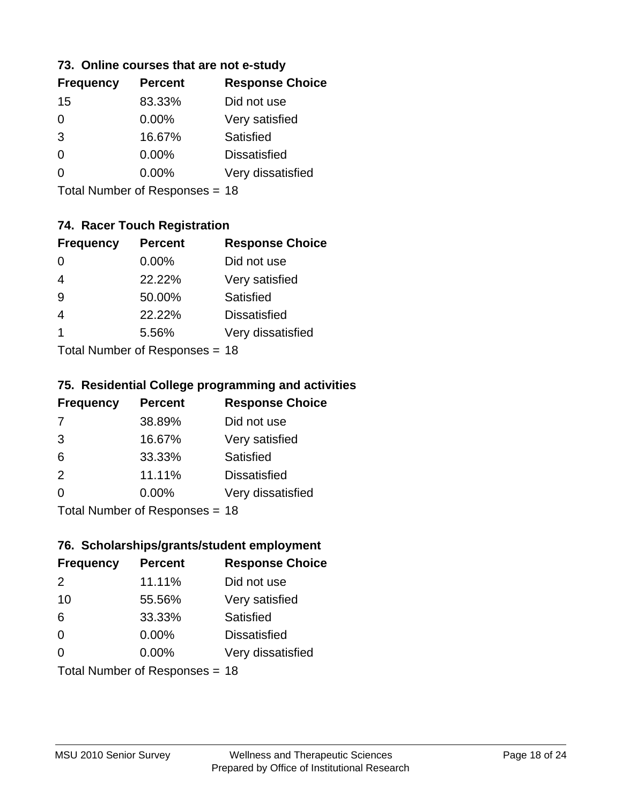## **73. Online courses that are not e-study**

| <b>Frequency</b> | <b>Percent</b> | <b>Response Choice</b> |
|------------------|----------------|------------------------|
| 15               | 83.33%         | Did not use            |
| 0                | $0.00\%$       | Very satisfied         |
| 3                | 16.67%         | Satisfied              |
| 0                | $0.00\%$       | <b>Dissatisfied</b>    |
|                  | $0.00\%$       | Very dissatisfied      |
|                  |                |                        |

Total Number of Responses = 18

## **74. Racer Touch Registration**

| <b>Frequency</b> | <b>Percent</b>              | <b>Response Choice</b> |
|------------------|-----------------------------|------------------------|
| $\Omega$         | 0.00%                       | Did not use            |
| $\overline{4}$   | 22.22%                      | Very satisfied         |
| -9               | 50.00%                      | Satisfied              |
| 4                | 22.22%                      | <b>Dissatisfied</b>    |
| 1                | 5.56%                       | Very dissatisfied      |
|                  | Total Number of Despenses - |                        |

Total Number of Responses = 18

### **75. Residential College programming and activities**

| <b>Frequency</b> | <b>Percent</b>             | <b>Response Choice</b> |
|------------------|----------------------------|------------------------|
| 7                | 38.89%                     | Did not use            |
| 3                | 16.67%                     | Very satisfied         |
| 6                | 33.33%                     | Satisfied              |
| 2                | 11.11%                     | <b>Dissatisfied</b>    |
| $\Omega$         | 0.00%                      | Very dissatisfied      |
|                  | Total Number of Desperance |                        |

Total Number of Responses = 18

### **76. Scholarships/grants/student employment**

| <b>Frequency</b> | <b>Percent</b>                 | <b>Response Choice</b> |
|------------------|--------------------------------|------------------------|
| $\mathcal{P}$    | 11.11%                         | Did not use            |
| 10               | 55.56%                         | Very satisfied         |
| 6                | 33.33%                         | Satisfied              |
| $\Omega$         | 0.00%                          | <b>Dissatisfied</b>    |
| $\Omega$         | $0.00\%$                       | Very dissatisfied      |
|                  | Total Number of Responses = 18 |                        |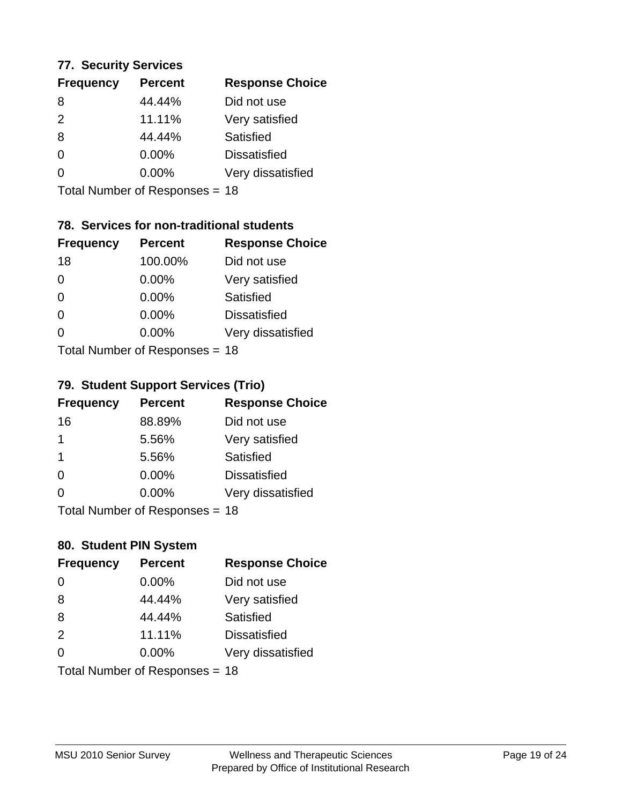### **77. Security Services**

| <b>Frequency</b> | <b>Percent</b> | <b>Response Choice</b> |
|------------------|----------------|------------------------|
| 8                | 44.44%         | Did not use            |
| $\mathcal{P}$    | 11.11%         | Very satisfied         |
| 8                | 44.44%         | Satisfied              |
| $\Omega$         | 0.00%          | <b>Dissatisfied</b>    |
| 0                | $0.00\%$       | Very dissatisfied      |
|                  |                |                        |

Total Number of Responses = 18

## **78. Services for non-traditional students**

| <b>Frequency</b>          | <b>Percent</b> | <b>Response Choice</b> |
|---------------------------|----------------|------------------------|
| 18                        | 100.00%        | Did not use            |
| 0                         | 0.00%          | Very satisfied         |
| $\Omega$                  | $0.00\%$       | <b>Satisfied</b>       |
| $\Omega$                  | 0.00%          | <b>Dissatisfied</b>    |
| 0                         | 0.00%          | Very dissatisfied      |
| Total Number of Deconoped |                |                        |

Total Number of Responses = 18

## **79. Student Support Services (Trio)**

| <b>Frequency</b> | <b>Percent</b>               | <b>Response Choice</b> |
|------------------|------------------------------|------------------------|
| 16               | 88.89%                       | Did not use            |
| 1                | 5.56%                        | Very satisfied         |
| -1               | 5.56%                        | Satisfied              |
| $\Omega$         | 0.00%                        | <b>Dissatisfied</b>    |
| $\Omega$         | 0.00%                        | Very dissatisfied      |
|                  | $Total Number of Denonce 49$ |                        |

I otal Number of Responses = 18

## **80. Student PIN System**

| <b>Frequency</b> | <b>Percent</b>                 | <b>Response Choice</b> |
|------------------|--------------------------------|------------------------|
| $\Omega$         | 0.00%                          | Did not use            |
| 8                | 44.44%                         | Very satisfied         |
| 8                | 44.44%                         | Satisfied              |
| 2                | 11.11%                         | <b>Dissatisfied</b>    |
| $\Omega$         | $0.00\%$                       | Very dissatisfied      |
|                  | Total Number of Responses = 18 |                        |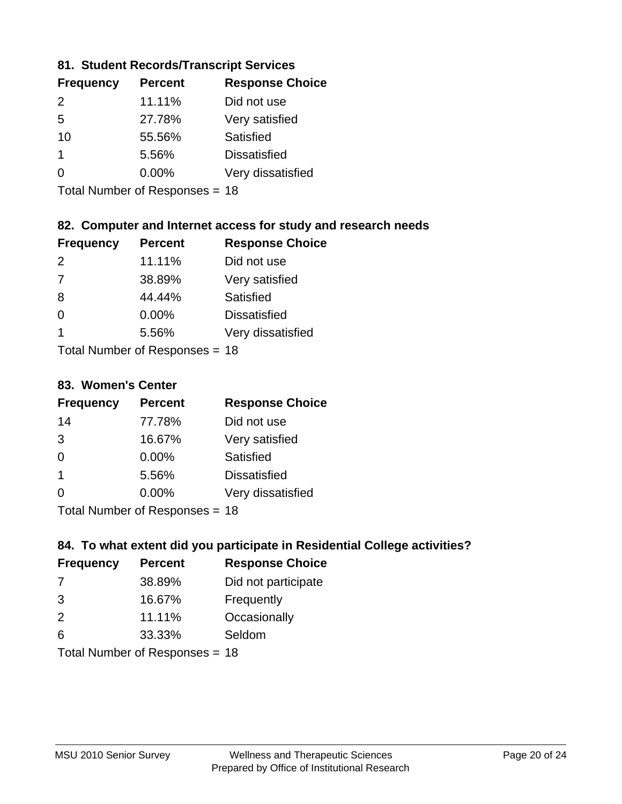## **81. Student Records/Transcript Services**

| <b>Frequency</b> | <b>Percent</b> | <b>Response Choice</b> |
|------------------|----------------|------------------------|
| $\mathcal{P}$    | 11.11%         | Did not use            |
| 5                | 27.78%         | Very satisfied         |
| 10               | 55.56%         | Satisfied              |
|                  | 5.56%          | <b>Dissatisfied</b>    |
| ∩                | 0.00%          | Very dissatisfied      |

Total Number of Responses = 18

## **82. Computer and Internet access for study and research needs**

| <b>Frequency</b> | <b>Percent</b>             | <b>Response Choice</b> |
|------------------|----------------------------|------------------------|
| $\mathcal{P}$    | 11.11%                     | Did not use            |
| 7                | 38.89%                     | Very satisfied         |
| 8                | 44.44%                     | Satisfied              |
| $\Omega$         | 0.00%                      | <b>Dissatisfied</b>    |
| 1                | 5.56%                      | Very dissatisfied      |
|                  | Tatal Number of Desperance |                        |

Total Number of Responses = 18

### **83. Women's Center**

| <b>Frequency</b> | <b>Percent</b>            | <b>Response Choice</b> |
|------------------|---------------------------|------------------------|
| 14               | 77.78%                    | Did not use            |
| 3                | 16.67%                    | Very satisfied         |
| $\Omega$         | 0.00%                     | Satisfied              |
| -1               | 5.56%                     | <b>Dissatisfied</b>    |
| $\Omega$         | 0.00%                     | Very dissatisfied      |
|                  | Total Number of Deepersee |                        |

Total Number of Responses = 18

## **84. To what extent did you participate in Residential College activities?**

| <b>Frequency</b> | <b>Percent</b>               | <b>Response Choice</b> |
|------------------|------------------------------|------------------------|
| -7               | 38.89%                       | Did not participate    |
| 3                | 16.67%                       | Frequently             |
| 2                | 11.11%                       | Occasionally           |
| 6                | 33.33%                       | Seldom                 |
|                  | $\tau$ . The state of $\sim$ |                        |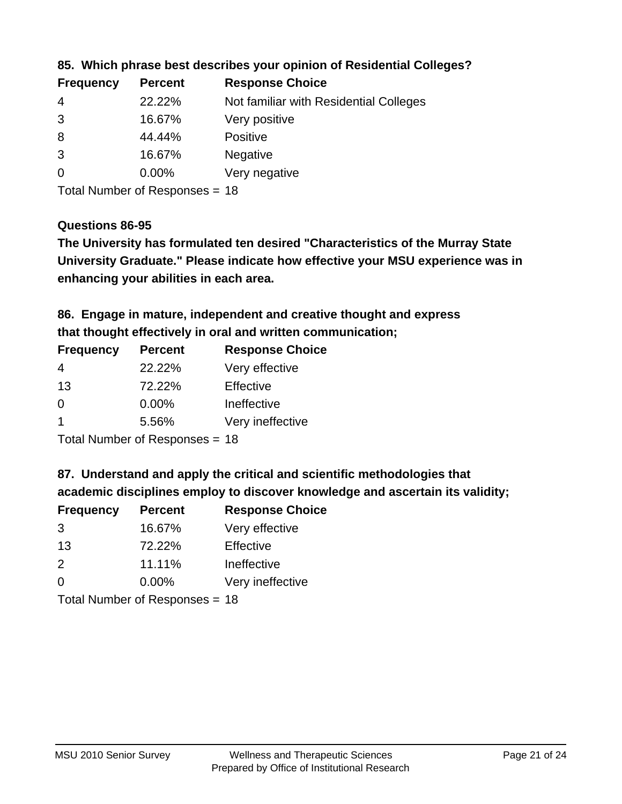| <b>Frequency</b> | <b>Percent</b> | <b>Response Choice</b>                 |
|------------------|----------------|----------------------------------------|
| -4               | 22.22%         | Not familiar with Residential Colleges |
| 3                | 16.67%         | Very positive                          |
| 8                | 44.44%         | Positive                               |
| 3                | 16.67%         | <b>Negative</b>                        |
| -0               | $0.00\%$       | Very negative                          |
|                  |                |                                        |

## **85. Which phrase best describes your opinion of Residential Colleges?**

Total Number of Responses = 18

### **Questions 86-95**

**University Graduate." Please indicate how effective your MSU experience was in The University has formulated ten desired "Characteristics of the Murray State enhancing your abilities in each area.**

**86. Engage in mature, independent and creative thought and express that thought effectively in oral and written communication;**

| <b>Frequency</b> | <b>Percent</b> | <b>Response Choice</b> |
|------------------|----------------|------------------------|
| 4                | 22.22%         | Very effective         |
| 13               | 72.22%         | Effective              |
| 0                | 0.00%          | Ineffective            |
|                  | 5.56%          | Very ineffective       |
|                  |                |                        |

Total Number of Responses = 18

**87. Understand and apply the critical and scientific methodologies that** 

**academic disciplines employ to discover knowledge and ascertain its validity;**

| <b>Frequency</b> | <b>Percent</b> | <b>Response Choice</b> |
|------------------|----------------|------------------------|
| 3                | 16.67%         | Very effective         |
| 13               | 72.22%         | Effective              |
| $\mathcal{P}$    | 11.11%         | Ineffective            |
| $\Omega$         | 0.00%          | Very ineffective       |
|                  |                |                        |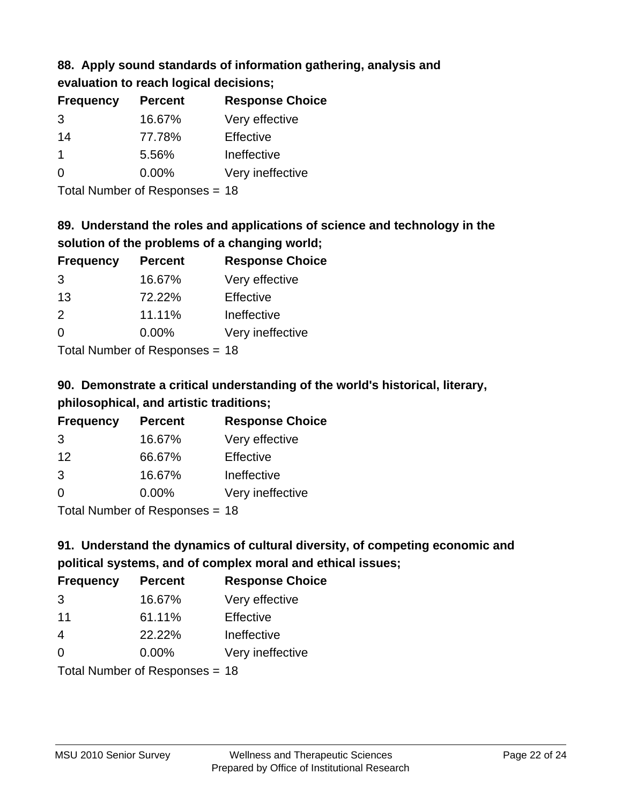# **88. Apply sound standards of information gathering, analysis and evaluation to reach logical decisions;**

| <b>Percent</b> | <b>Response Choice</b> |
|----------------|------------------------|
| 16.67%         | Very effective         |
| 77.78%         | Effective              |
| 5.56%          | Ineffective            |
| $0.00\%$       | Very ineffective       |
|                |                        |

Total Number of Responses = 18

# **89. Understand the roles and applications of science and technology in the solution of the problems of a changing world;**

| <b>Frequency</b>                         | <b>Percent</b> | <b>Response Choice</b> |
|------------------------------------------|----------------|------------------------|
| 3                                        | 16.67%         | Very effective         |
| 13                                       | 72.22%         | Effective              |
| $\mathcal{P}$                            | 11.11%         | Ineffective            |
| $\Omega$                                 | 0.00%          | Very ineffective       |
| $T$ at all Message and $D$ are a serious |                |                        |

Total Number of Responses = 18

# **90. Demonstrate a critical understanding of the world's historical, literary, philosophical, and artistic traditions;**

| <b>Frequency</b> | <b>Percent</b> | <b>Response Choice</b> |
|------------------|----------------|------------------------|
| 3                | 16.67%         | Very effective         |
| 12               | 66.67%         | Effective              |
| 3                | 16.67%         | Ineffective            |
| $\Omega$         | 0.00%          | Very ineffective       |
|                  |                |                        |

Total Number of Responses = 18

# **91. Understand the dynamics of cultural diversity, of competing economic and political systems, and of complex moral and ethical issues;**

| <b>Frequency</b>               | <b>Percent</b> | <b>Response Choice</b> |
|--------------------------------|----------------|------------------------|
| 3                              | 16.67%         | Very effective         |
| 11                             | 61.11%         | Effective              |
| $\overline{4}$                 | 22.22%         | Ineffective            |
| $\Omega$                       | $0.00\%$       | Very ineffective       |
| Total Number of Responses = 18 |                |                        |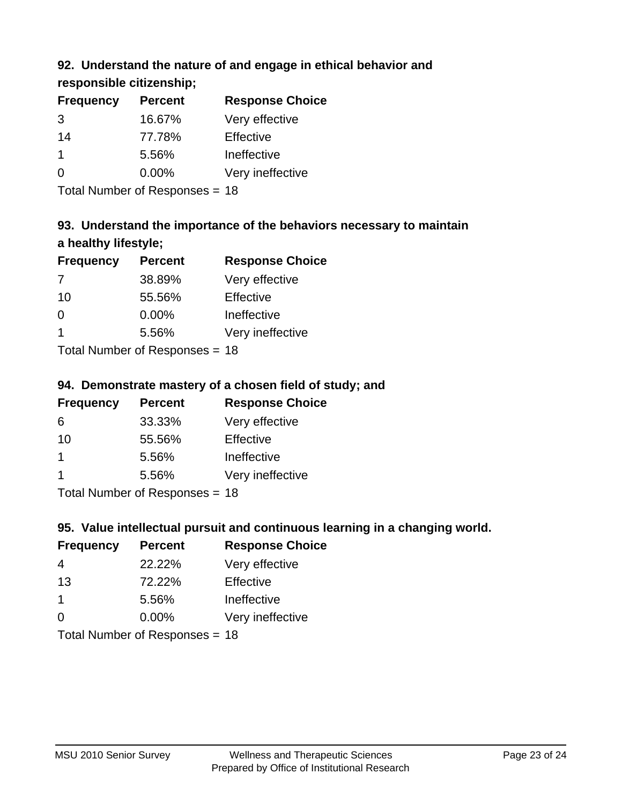## **92. Understand the nature of and engage in ethical behavior and**

**responsible citizenship;**

| <b>Frequency</b> | <b>Percent</b> | <b>Response Choice</b> |
|------------------|----------------|------------------------|
| 3                | 16.67%         | Very effective         |
| 14               | 77.78%         | Effective              |
|                  | 5.56%          | Ineffective            |
| $\Omega$         | $0.00\%$       | Very ineffective       |
|                  |                |                        |

Total Number of Responses = 18

# **93. Understand the importance of the behaviors necessary to maintain a healthy lifestyle;**

| <b>Frequency</b>             | <b>Percent</b> | <b>Response Choice</b> |
|------------------------------|----------------|------------------------|
| 7                            | 38.89%         | Very effective         |
| 10                           | 55.56%         | Effective              |
| $\Omega$                     | $0.00\%$       | Ineffective            |
|                              | 5.56%          | Very ineffective       |
| Tatal Manuel and Davis and a |                |                        |

Total Number of Responses = 18

## **94. Demonstrate mastery of a chosen field of study; and**

| <b>Frequency</b> | <b>Percent</b> | <b>Response Choice</b> |
|------------------|----------------|------------------------|
| 6                | 33.33%         | Very effective         |
| 10               | 55.56%         | Effective              |
|                  | 5.56%          | Ineffective            |
|                  | 5.56%          | Very ineffective       |
|                  |                |                        |

Total Number of Responses = 18

## **95. Value intellectual pursuit and continuous learning in a changing world.**

| <b>Frequency</b> | <b>Percent</b>                                                                                                                                                                                                                 | <b>Response Choice</b> |
|------------------|--------------------------------------------------------------------------------------------------------------------------------------------------------------------------------------------------------------------------------|------------------------|
| 4                | 22.22%                                                                                                                                                                                                                         | Very effective         |
| 13               | 72.22%                                                                                                                                                                                                                         | Effective              |
| 1                | 5.56%                                                                                                                                                                                                                          | Ineffective            |
| $\Omega$         | 0.00%                                                                                                                                                                                                                          | Very ineffective       |
|                  | The Little and the Little Communist Communist Communist Communist Communist Communist Communist Communist Communist Communist Communist Communist Communist Communist Communist Communist Communist Communist Communist Commun |                        |